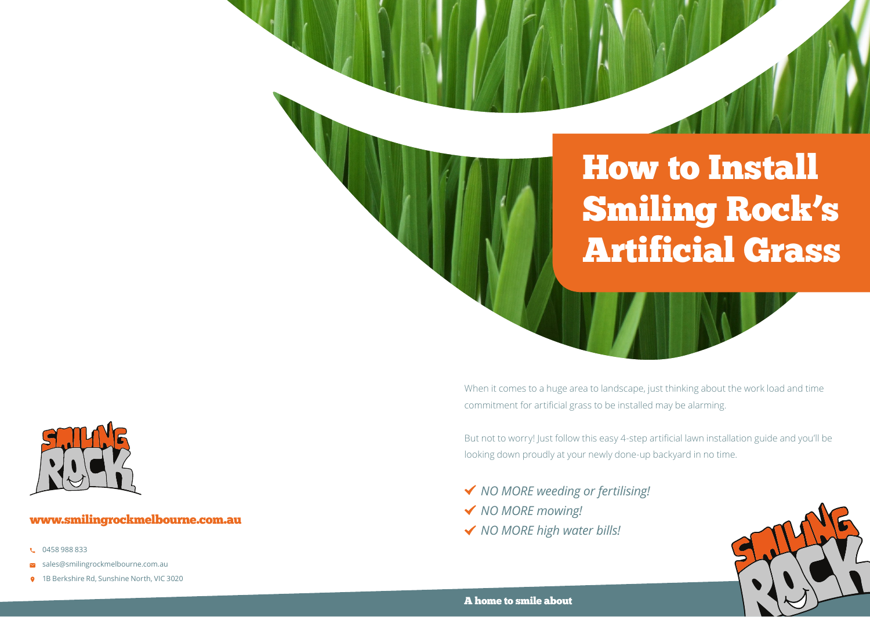## How to Install Smiling Rock's Artificial Grass

When it comes to a huge area to landscape, just thinking about the work load and time commitment for artificial grass to be installed may be alarming.

But not to worry! Just follow this easy 4-step artificial lawn installation guide and you'll be looking down proudly at your newly done-up backyard in no time.

- *NO MORE weeding or fertilising!*
- *NO MORE mowing!*
- *NO MORE high water bills!*



## www.smilingrockmelbourne.com.au

- **t.** 0458 988 833
- $\sim$  sales@smilingrockmelbourne.com.au
- **9** 1B Berkshire Rd, Sunshine North, VIC 3020

### A home to smile about